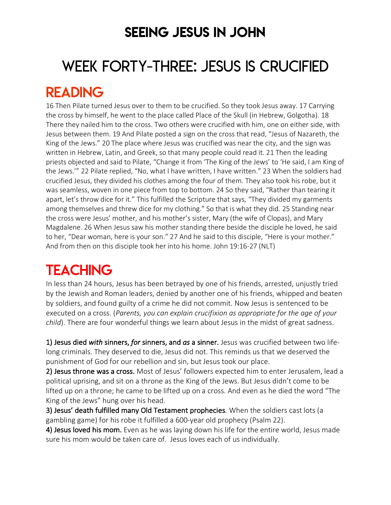### SEEING JESUS IN JOHN

# WEEK FORTY-THREE: JESUS IS CRUCIFIED READING

16 Then Pilate turned Jesus over to them to be crucified. So they took Jesus away. 17 Carrying the cross by himself, he went to the place called Place of the Skull (in Hebrew, Golgotha). 18 There they nailed him to the cross. Two others were crucified with him, one on either side, with Jesus between them. 19 And Pilate posted a sign on the cross that read, "Jesus of Nazareth, the King of the Jews." 20 The place where Jesus was crucified was near the city, and the sign was written in Hebrew, Latin, and Greek, so that many people could read it. 21 Then the leading priests objected and said to Pilate, "Change it from 'The King of the Jews' to 'He said, I am King of the Jews.'" 22 Pilate replied, "No, what I have written, I have written." 23 When the soldiers had crucified Jesus, they divided his clothes among the four of them. They also took his robe, but it was seamless, woven in one piece from top to bottom. 24 So they said, "Rather than tearing it apart, let's throw dice for it." This fulfilled the Scripture that says, "They divided my garments among themselves and threw dice for my clothing." So that is what they did. 25 Standing near the cross were Jesus' mother, and his mother's sister, Mary (the wife of Clopas), and Mary Magdalene. 26 When Jesus saw his mother standing there beside the disciple he loved, he said to her, "Dear woman, here is your son." 27 And he said to this disciple, "Here is your mother." And from then on this disciple took her into his home. John 19:16-27 (NLT)

### **TEACHING**

In less than 24 hours, Jesus has been betrayed by one of his friends, arrested, unjustly tried by the Jewish and Roman leaders, denied by another one of his friends, whipped and beaten by soldiers, and found guilty of a crime he did not commit. Now Jesus is sentenced to be executed on a cross. (*Parents, you can explain crucifixion as appropriate for the age of your child*). There are four wonderful things we learn about Jesus in the midst of great sadness.

1) Jesus died *with* sinners, *for* sinners, and *as* a sinner. Jesus was crucified between two lifelong criminals. They deserved to die, Jesus did not. This reminds us that we deserved the punishment of God for our rebellion and sin, but Jesus took our place.

2) Jesus throne was a cross. Most of Jesus' followers expected him to enter Jerusalem, lead a political uprising, and sit on a throne as the King of the Jews. But Jesus didn't come to be lifted up on a throne; he came to be lifted up on a cross. And even as he died the word "The King of the Jews" hung over his head.

3) Jesus' death fulfilled many Old Testament prophecies. When the soldiers cast lots (a gambling game) for his robe it fulfilled a 600-year old prophecy (Psalm 22).

4) Jesus loved his mom. Even as he was laying down his life for the entire world, Jesus made sure his mom would be taken care of. Jesus loves each of us individually.